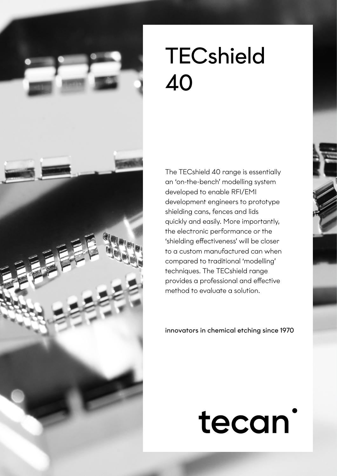

The TECshield 40 range is essentially an 'on-the-bench' modelling system developed to enable RFI/EMI development engineers to prototype shielding cans, fences and lids quickly and easily. More importantly, the electronic performance or the 'shielding effectiveness' will be closer to a custom manufactured can when compared to traditional 'modelling' techniques. The TECshield range provides a professional and effective method to evaluate a solution.

innovators in chemical etching since 1970

# tecan<sup>'</sup>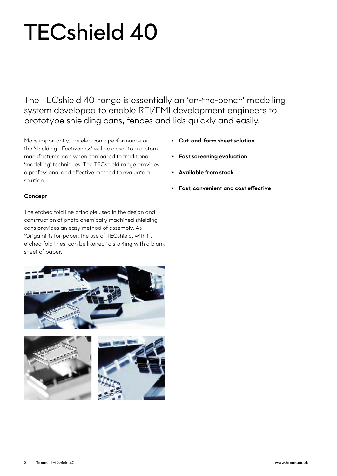The TECshield 40 range is essentially an 'on-the-bench' modelling system developed to enable RFI/EMI development engineers to prototype shielding cans, fences and lids quickly and easily.

More importantly, the electronic performance or the 'shielding effectiveness' will be closer to a custom manufactured can when compared to traditional 'modelling' techniques. The TECshield range provides a professional and effective method to evaluate a solution.

#### **Concept**

The etched fold line principle used in the design and construction of photo chemically machined shielding cans provides an easy method of assembly. As 'Origami' is for paper, the use of TECshield, with its etched fold lines, can be likened to starting with a blank sheet of paper.





- Cut-and-form sheet solution
- Fast screening evaluation
- Available from stock
- Fast, convenient and cost effective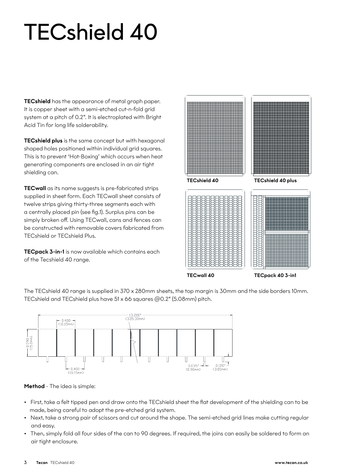TECshield has the appearance of metal graph paper. It is copper sheet with a semi-etched cut-n-fold grid system at a pitch of 0.2". It is electroplated with Bright Acid Tin for long life solderability.

**TECshield plus** is the same concept but with hexagonal shaped holes positioned within individual grid squares. This is to prevent 'Hot-Boxing' which occurs when heat generating components are enclosed in an air tight shielding can.

TECwall as its name suggests is pre-fabricated strips supplied in sheet form. Each TECwall sheet consists of twelve strips giving thirty-three segments each with a centrally placed pin (see fig.1). Surplus pins can be simply broken off. Using TECwall, cans and fences can be constructed with removable covers fabricated from TECshield or TECshield Plus.

TECpack 3-in-1 is now available which contains each of the Tecshield 40 range.



TECwall 40

TECpack 40 3-in1

The TECshield 40 range is supplied in 370 x 280mm sheets, the top margin is 30mm and the side borders 10mm. TECshield and TECshield plus have 51 x 66 squares @0.2" (5.08mm) pitch.



Method - The idea is simple:

- First, take a felt tipped pen and draw onto the TECshield sheet the flat development of the shielding can to be made, being careful to adopt the pre-etched grid system.
- Next, take a strong pair of scissors and cut around the shape. The semi-etched grid lines make cutting regular and easy.
- Then, simply fold all four sides of the can to 90 degrees. If required, the joins can easily be soldered to form an air tight enclosure.